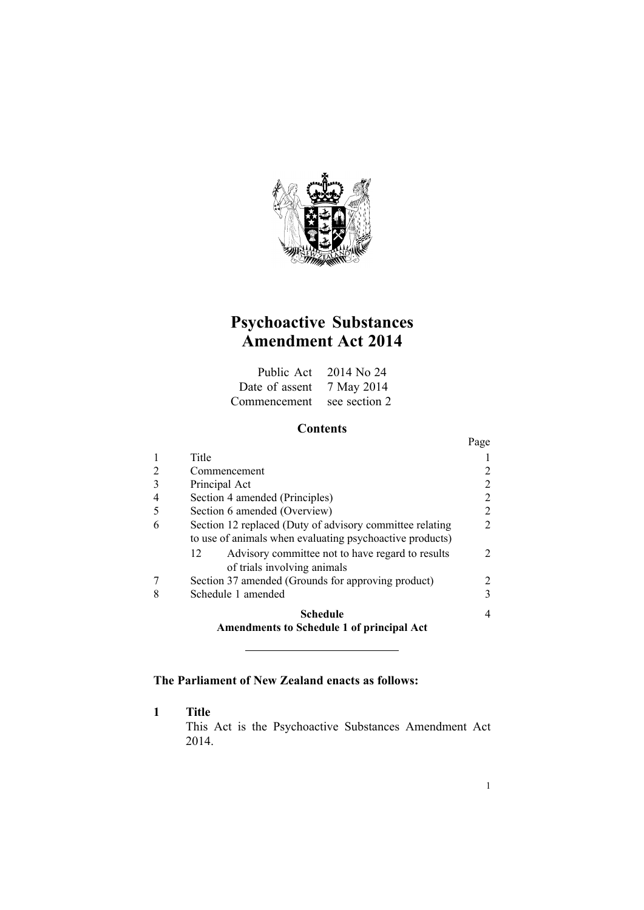

# **Psychoactive Substances Amendment Act 2014**

|                            | Public Act 2014 No 24 |
|----------------------------|-----------------------|
| Date of assent 7 May 2014  |                       |
| Commencement see section 2 |                       |

# **Contents**

|   |                                                                                                                      | Page |
|---|----------------------------------------------------------------------------------------------------------------------|------|
|   | Title                                                                                                                |      |
|   | Commencement                                                                                                         |      |
|   | Principal Act                                                                                                        |      |
|   | Section 4 amended (Principles)                                                                                       |      |
|   | Section 6 amended (Overview)                                                                                         |      |
| 6 | Section 12 replaced (Duty of advisory committee relating<br>to use of animals when evaluating psychoactive products) |      |
|   | Advisory committee not to have regard to results<br>12<br>of trials involving animals                                |      |
|   | Section 37 amended (Grounds for approving product)                                                                   |      |
| 8 | Schedule 1 amended                                                                                                   | 3    |
|   | Schedule                                                                                                             |      |
|   | <b>Amendments to Schedule 1 of principal Act</b>                                                                     |      |

# **The Parliament of New Zealand enacts as follows:**

**1 Title**

This Act is the Psychoactive Substances Amendment Act 2014.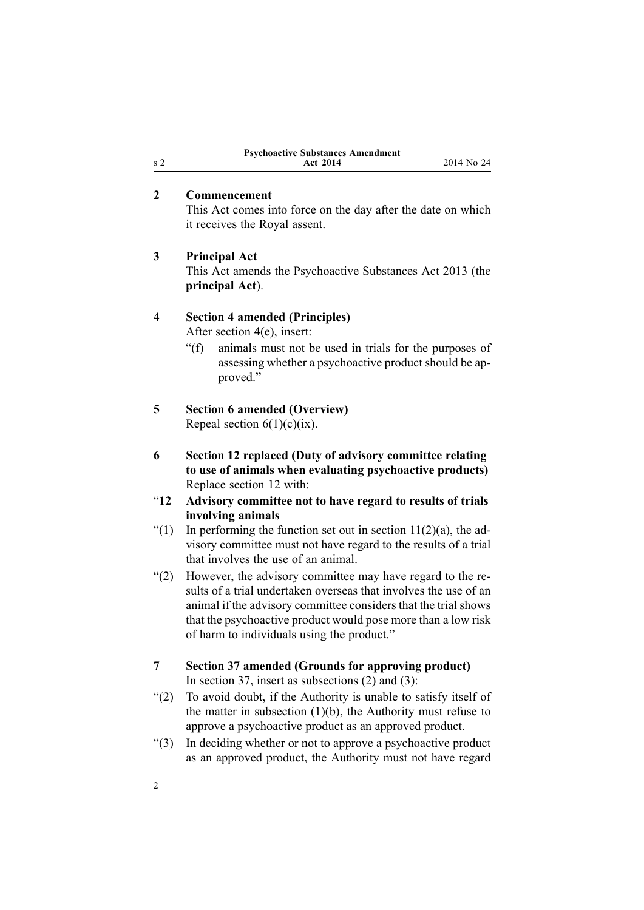| <b>Psychoactive Substances Amendment</b> |            |
|------------------------------------------|------------|
| <b>Act 2014</b>                          | 2014 No 24 |

## **2 Commencement**

This Act comes into force on the day after the date on which it receives the Royal assent.

## **3 Principal Act**

This Act amends the [Psychoactive](http://prd-lgnz-nlb.prd.pco.net.nz/pdflink.aspx?id=DLM5042900) Substances Act 2013 (the **principal Act**).

## **4 Section 4 amended (Principles)**

After [section](http://prd-lgnz-nlb.prd.pco.net.nz/pdflink.aspx?id=DLM5042929) 4(e), insert:

"(f) animals must not be used in trials for the purposes of assessing whether <sup>a</sup> psychoactive product should be approved."

# **5 Section 6 amended (Overview)**

Repeal section  $6(1)(c)(ix)$ .

- **6 Section 12 replaced (Duty of advisory committee relating to use of animals when evaluating psychoactive products)** Replace [section](http://prd-lgnz-nlb.prd.pco.net.nz/pdflink.aspx?id=DLM5331116) 12 with:
- "**12 Advisory committee not to have regard to results of trials involving animals**
- "(1) In performing the function set out in section  $11(2)(a)$ , the advisory committee must not have regard to the results of <sup>a</sup> trial that involves the use of an animal.
- "(2) However, the advisory committee may have regard to the results of <sup>a</sup> trial undertaken overseas that involves the use of an animal if the advisory committee considers that the trial shows that the psychoactive product would pose more than <sup>a</sup> low risk of harm to individuals using the product."
- **7 Section 37 amended (Grounds for approving product)** In [section](http://prd-lgnz-nlb.prd.pco.net.nz/pdflink.aspx?id=DLM5043057) 37, insert as subsections (2) and (3):
- "(2) To avoid doubt, if the Authority is unable to satisfy itself of the matter in subsection  $(1)(b)$ , the Authority must refuse to approve <sup>a</sup> psychoactive product as an approved product.
- "(3) In deciding whether or not to approve <sup>a</sup> psychoactive product as an approved product, the Authority must not have regard

<span id="page-1-0"></span><sup>s</sup> 2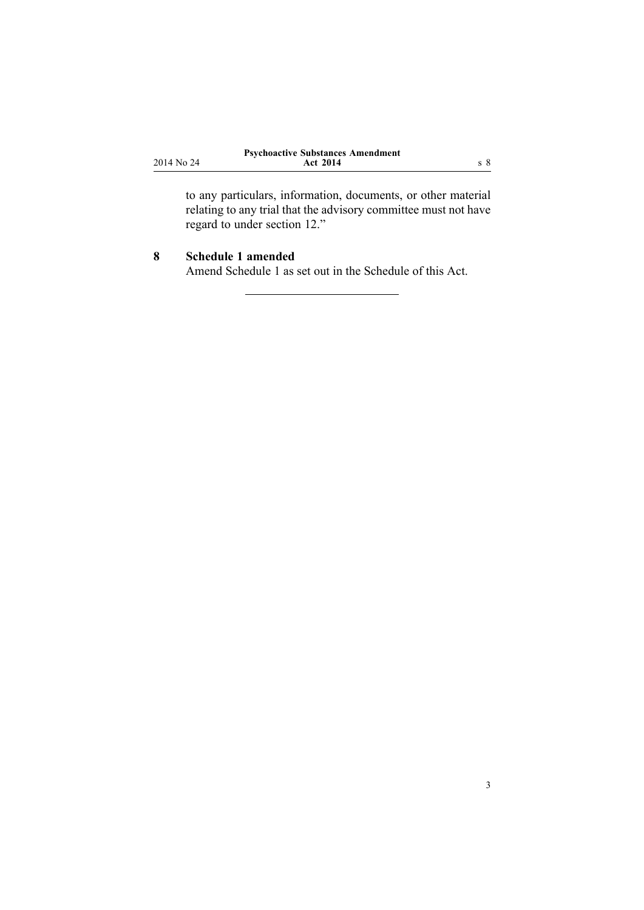<span id="page-2-0"></span>

|            | <b>Psychoactive Substances Amendment</b> |  |
|------------|------------------------------------------|--|
| 2014 No 24 | <b>Act 2014</b>                          |  |

to any particulars, information, documents, or other material relating to any trial that the advisory committee must not have regard to under section 12."

## **8 Schedule 1 amended**

Amend [Schedule](http://prd-lgnz-nlb.prd.pco.net.nz/pdflink.aspx?id=DLM5331120) 1 as set out in the [Schedule](#page-3-0) of this Act.

3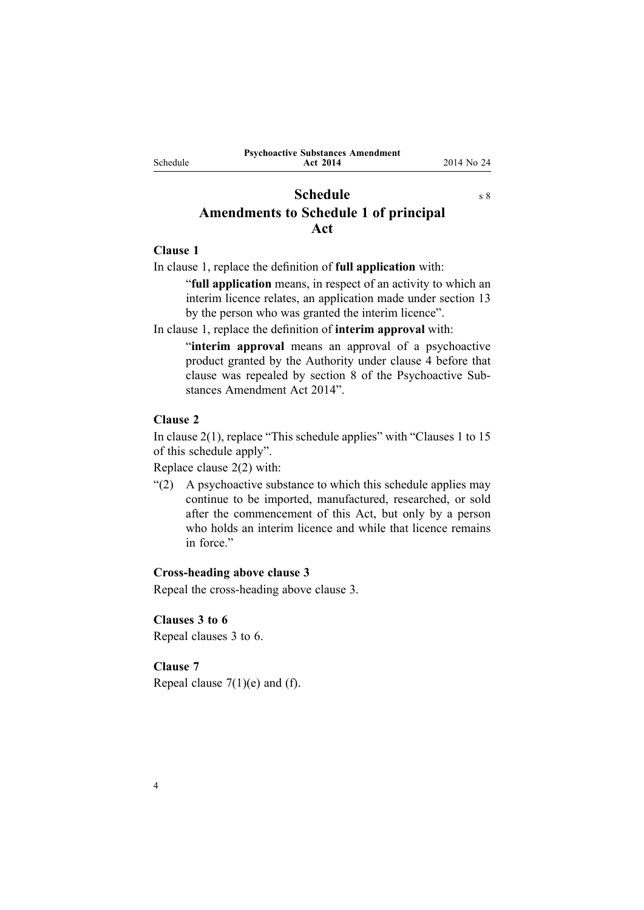<span id="page-3-0"></span>Schedule

**Act 2014** 2014 No 24

# **Schedule** s [8](#page-2-0) **Amendments to Schedule 1 of principal Act**

## **Clause 1**

In [clause](http://prd-lgnz-nlb.prd.pco.net.nz/pdflink.aspx?id=DLM5331121) 1, replace the definition of **full application** with:

"**full application** means, in respec<sup>t</sup> of an activity to which an interim licence relates, an application made under section 13 by the person who was granted the interim licence".

In [clause](http://prd-lgnz-nlb.prd.pco.net.nz/pdflink.aspx?id=DLM5331121) 1, replace the definition of **interim approval** with:

"**interim approval** means an approval of <sup>a</sup> psychoactive product granted by the Authority under clause 4 before that clause was repealed by section 8 of the Psychoactive Substances Amendment Act 2014".

# **Clause 2**

In [clause](http://prd-lgnz-nlb.prd.pco.net.nz/pdflink.aspx?id=DLM5331128) 2(1), replace "This schedule applies" with "Clauses 1 to 15 of this schedule apply".

Replace [clause](http://prd-lgnz-nlb.prd.pco.net.nz/pdflink.aspx?id=DLM5331128) 2(2) with:

"(2) A psychoactive substance to which this schedule applies may continue to be imported, manufactured, researched, or sold after the commencement of this Act, but only by <sup>a</sup> person who holds an interim licence and while that licence remains in force."

## **Cross-heading above clause 3**

Repeal the cross-heading above [clause](http://prd-lgnz-nlb.prd.pco.net.nz/pdflink.aspx?id=DLM5331130) 3.

## **Clauses 3 to 6**

Repeal [clauses](http://prd-lgnz-nlb.prd.pco.net.nz/pdflink.aspx?id=DLM5331130) 3 to 6.

# **Clause 7**

Repeal clause  $7(1)(e)$  and (f).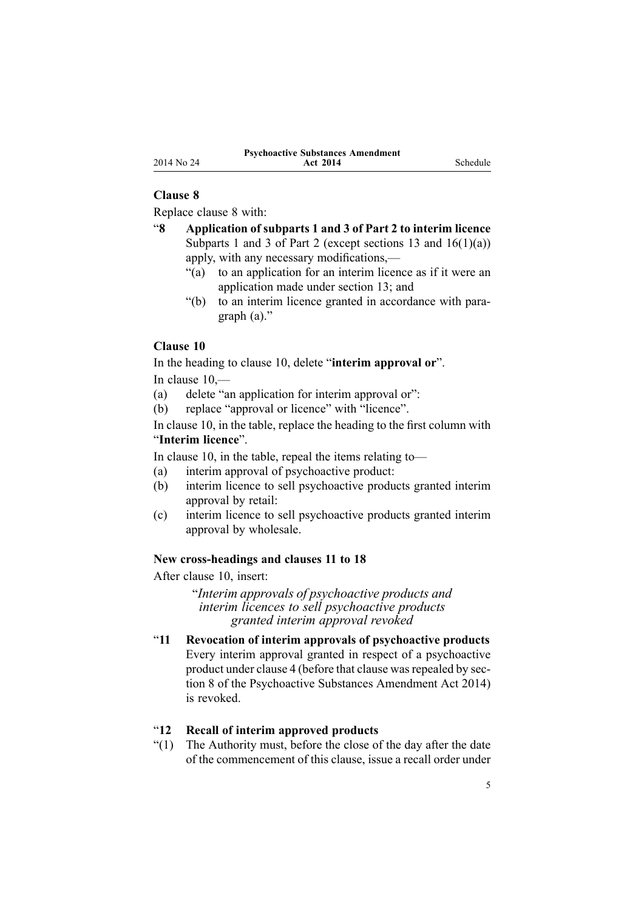## **Clause 8**

Replace [clause](http://prd-lgnz-nlb.prd.pco.net.nz/pdflink.aspx?id=DLM5331136) 8 with:

- "**8 Application of subparts 1 and 3 of Part 2 to interim licence** Subparts 1 and 3 of Part 2 (except sections 13 and  $16(1)(a)$ ) apply, with any necessary modifications,—
	- "(a) to an application for an interim licence as if it were an application made under section 13; and
	- "(b) to an interim licence granted in accordance with paragraph (a)."

#### **Clause 10**

In the heading to [clause](http://prd-lgnz-nlb.prd.pco.net.nz/pdflink.aspx?id=DLM5331139) 10, delete "**interim approval or**". In [clause](http://prd-lgnz-nlb.prd.pco.net.nz/pdflink.aspx?id=DLM5331139) 10,—

- (a) delete "an application for interim approval or":
- (b) replace "approval or licence" with "licence".

In [clause](http://prd-lgnz-nlb.prd.pco.net.nz/pdflink.aspx?id=DLM5331139) 10, in the table, replace the heading to the first column with "**Interim licence**".

In [clause](http://prd-lgnz-nlb.prd.pco.net.nz/pdflink.aspx?id=DLM5331139) 10, in the table, repeal the items relating to—

- (a) interim approval of psychoactive product:
- (b) interim licence to sell psychoactive products granted interim approval by retail:
- (c) interim licence to sell psychoactive products granted interim approval by wholesale.

#### **New cross-headings and clauses 11 to 18**

After [clause](http://prd-lgnz-nlb.prd.pco.net.nz/pdflink.aspx?id=DLM5331139) 10, insert:

"*Interim approvals of psychoactive products and interim licences to sell psychoactive products granted interim approval revoked*

"**11 Revocation of interim approvals of psychoactive products** Every interim approval granted in respec<sup>t</sup> of <sup>a</sup> psychoactive product under clause 4 (before that clause was repealed by section 8 of the Psychoactive Substances Amendment Act 2014) is revoked.

## "**12 Recall of interim approved products**

"(1) The Authority must, before the close of the day after the date of the commencement of this clause, issue <sup>a</sup> recall order under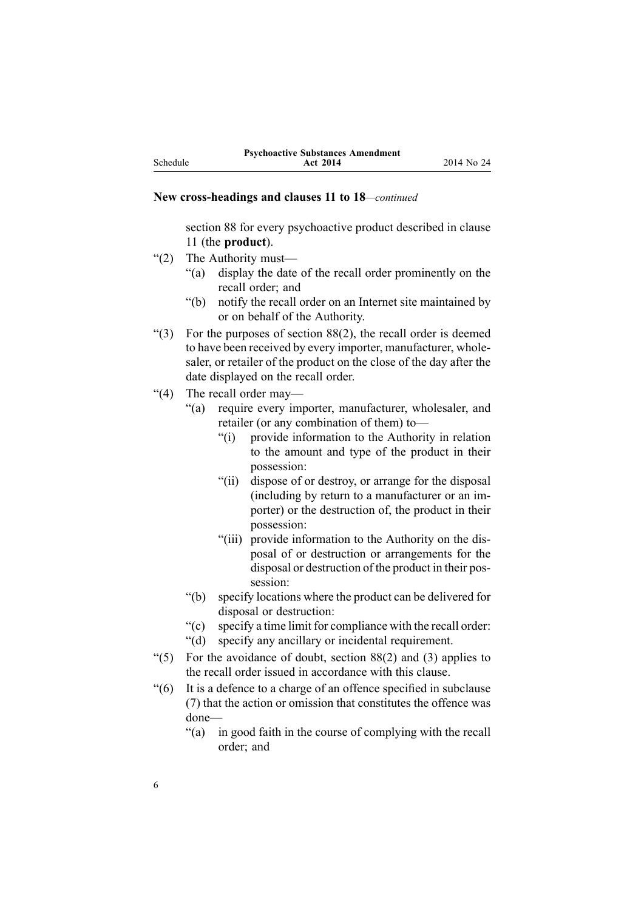#### **New cross-headings and clauses 11 to 18***—continued*

section 88 for every psychoactive product described in clause 11 (the **product**).

- "(2) The Authority must—
	- "(a) display the date of the recall order prominently on the recall order; and
	- "(b) notify the recall order on an Internet site maintained by or on behalf of the Authority.
- "(3) For the purposes of section  $88(2)$ , the recall order is deemed to have been received by every importer, manufacturer, wholesaler, or retailer of the product on the close of the day after the date displayed on the recall order.
- "(4) The recall order may—
	- "(a) require every importer, manufacturer, wholesaler, and retailer (or any combination of them) to—
		- "(i) provide information to the Authority in relation to the amount and type of the product in their possession:
		- "(ii) dispose of or destroy, or arrange for the disposal (including by return to <sup>a</sup> manufacturer or an importer) or the destruction of, the product in their possession:
		- "(iii) provide information to the Authority on the disposal of or destruction or arrangements for the disposal or destruction of the product in their possession:
	- "(b) specify locations where the product can be delivered for disposal or destruction:
	- "(c) specify <sup>a</sup> time limit for compliance with the recall order:
	- "(d) specify any ancillary or incidental requirement.
- "(5) For the avoidance of doubt, section 88(2) and (3) applies to the recall order issued in accordance with this clause.
- "(6) It is <sup>a</sup> defence to <sup>a</sup> charge of an offence specified in subclause (7) that the action or omission that constitutes the offence was done—
	- "(a) in good faith in the course of complying with the recall order; and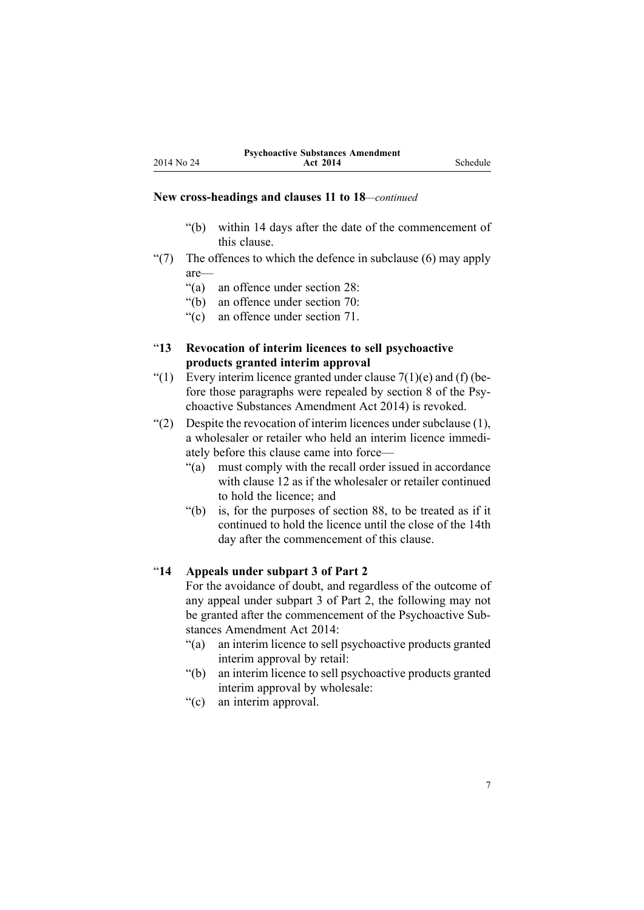**Act 2014** Schedule

#### **New cross-headings and clauses 11 to 18***—continued*

- "(b) within 14 days after the date of the commencement of this clause.
- " $(7)$  The offences to which the defence in subclause  $(6)$  may apply are—
	- "(a) an offence under section 28:
	- "(b) an offence under section 70:
	- "(c) an offence under section 71.
- "**13 Revocation of interim licences to sell psychoactive products granted interim approval**
- "(1) Every interim licence granted under clause  $7(1)(e)$  and (f) (before those paragraphs were repealed by section 8 of the Psychoactive Substances Amendment Act 2014) is revoked.
- "(2) Despite the revocation of interim licences under subclause  $(1)$ , <sup>a</sup> wholesaler or retailer who held an interim licence immediately before this clause came into force—
	- "(a) must comply with the recall order issued in accordance with clause 12 as if the wholesaler or retailer continued to hold the licence; and
	- "(b) is, for the purposes of section 88, to be treated as if it continued to hold the licence until the close of the 14th day after the commencement of this clause.

## "**14 Appeals under subpart 3 of Part 2**

For the avoidance of doubt, and regardless of the outcome of any appeal under subpart 3 of Part 2, the following may not be granted after the commencement of the Psychoactive Substances Amendment Act 2014:

- "(a) an interim licence to sell psychoactive products granted interim approval by retail:
- "(b) an interim licence to sell psychoactive products granted interim approval by wholesale:
- "(c) an interim approval.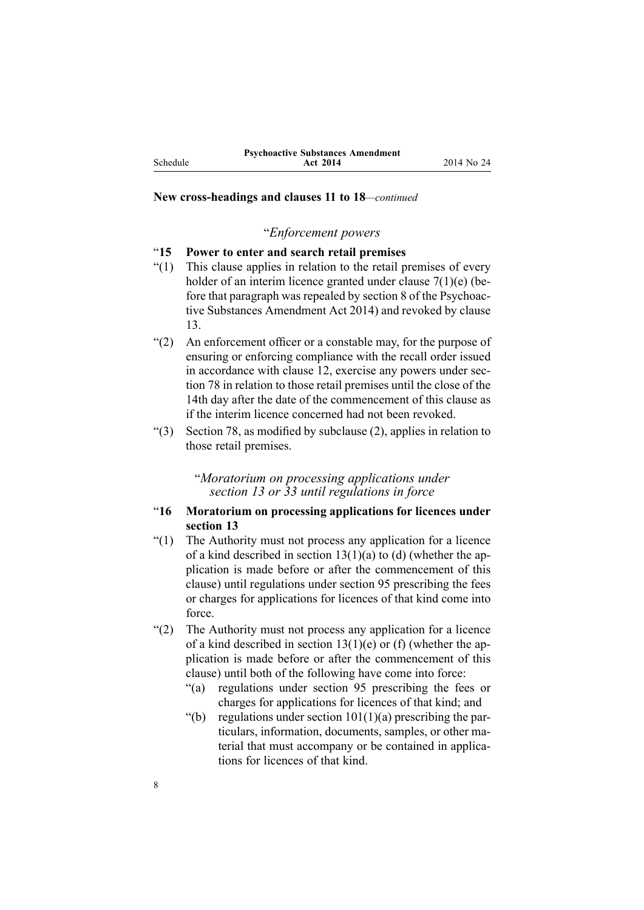Schedule

#### **New cross-headings and clauses 11 to 18***—continued*

### "*Enforcement powers*

## "**15 Power to enter and search retail premises**

- "(1) This clause applies in relation to the retail premises of every holder of an interim licence granted under clause 7(1)(e) (before that paragraph was repealed by section 8 of the Psychoactive Substances Amendment Act 2014) and revoked by clause 13.
- "(2) An enforcement officer or <sup>a</sup> constable may, for the purpose of ensuring or enforcing compliance with the recall order issued in accordance with clause 12, exercise any powers under section 78 in relation to those retail premises until the close of the 14th day after the date of the commencement of this clause as if the interim licence concerned had not been revoked.
- "(3) Section 78, as modified by subclause (2), applies in relation to those retail premises.

"*Moratorium on processing applications under section 13 or 33 until regulations in force*

## "**16 Moratorium on processing applications for licences under section 13**

- "(1) The Authority must not process any application for <sup>a</sup> licence of a kind described in section  $13(1)(a)$  to (d) (whether the application is made before or after the commencement of this clause) until regulations under section 95 prescribing the fees or charges for applications for licences of that kind come into force.
- "(2) The Authority must not process any application for <sup>a</sup> licence of a kind described in section  $13(1)(e)$  or (f) (whether the application is made before or after the commencement of this clause) until both of the following have come into force:
	- "(a) regulations under section 95 prescribing the fees or charges for applications for licences of that kind; and
	- "(b) regulations under section  $101(1)(a)$  prescribing the particulars, information, documents, samples, or other material that must accompany or be contained in applications for licences of that kind.